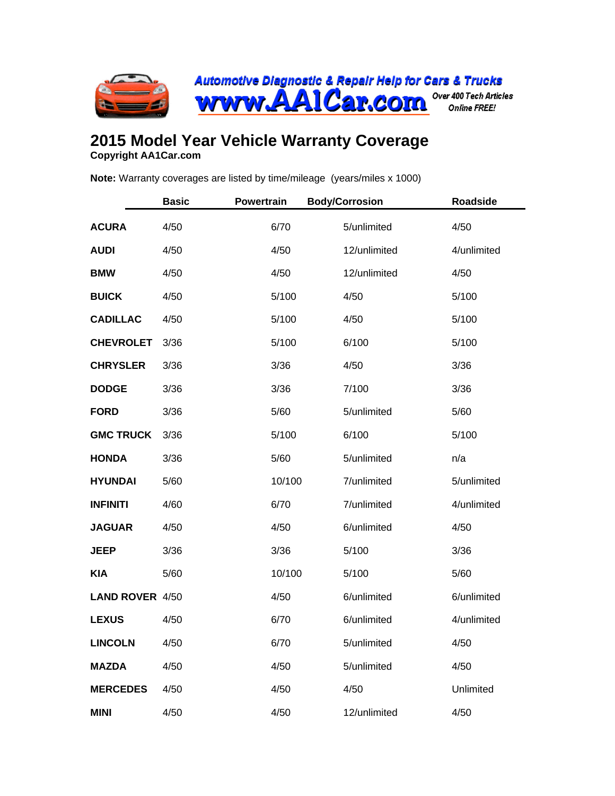

## **2015 Model Year Vehicle Warranty Coverage**

**Copyright AA1Car.com**

**Note:** Warranty coverages are listed by time/mileage (years/miles x 1000)

|                  | <b>Basic</b> | <b>Powertrain</b> | <b>Body/Corrosion</b> | <b>Roadside</b> |
|------------------|--------------|-------------------|-----------------------|-----------------|
| <b>ACURA</b>     | 4/50         | 6/70              | 5/unlimited           | 4/50            |
| <b>AUDI</b>      | 4/50         | 4/50              | 12/unlimited          | 4/unlimited     |
| <b>BMW</b>       | 4/50         | 4/50              | 12/unlimited          | 4/50            |
| <b>BUICK</b>     | 4/50         | 5/100             | 4/50                  | 5/100           |
| <b>CADILLAC</b>  | 4/50         | 5/100             | 4/50                  | 5/100           |
| <b>CHEVROLET</b> | 3/36         | 5/100             | 6/100                 | 5/100           |
| <b>CHRYSLER</b>  | 3/36         | 3/36              | 4/50                  | 3/36            |
| <b>DODGE</b>     | 3/36         | 3/36              | 7/100                 | 3/36            |
| <b>FORD</b>      | 3/36         | 5/60              | 5/unlimited           | 5/60            |
| <b>GMC TRUCK</b> | 3/36         | 5/100             | 6/100                 | 5/100           |
| <b>HONDA</b>     | 3/36         | 5/60              | 5/unlimited           | n/a             |
| <b>HYUNDAI</b>   | 5/60         | 10/100            | 7/unlimited           | 5/unlimited     |
| <b>INFINITI</b>  | 4/60         | 6/70              | 7/unlimited           | 4/unlimited     |
| <b>JAGUAR</b>    | 4/50         | 4/50              | 6/unlimited           | 4/50            |
| <b>JEEP</b>      | 3/36         | 3/36              | 5/100                 | 3/36            |
| <b>KIA</b>       | 5/60         | 10/100            | 5/100                 | 5/60            |
| LAND ROVER 4/50  |              | 4/50              | 6/unlimited           | 6/unlimited     |
| <b>LEXUS</b>     | 4/50         | 6/70              | 6/unlimited           | 4/unlimited     |
| <b>LINCOLN</b>   | 4/50         | 6/70              | 5/unlimited           | 4/50            |
| <b>MAZDA</b>     | 4/50         | 4/50              | 5/unlimited           | 4/50            |
| <b>MERCEDES</b>  | 4/50         | 4/50              | 4/50                  | Unlimited       |
| <b>MINI</b>      | 4/50         | 4/50              | 12/unlimited          | 4/50            |